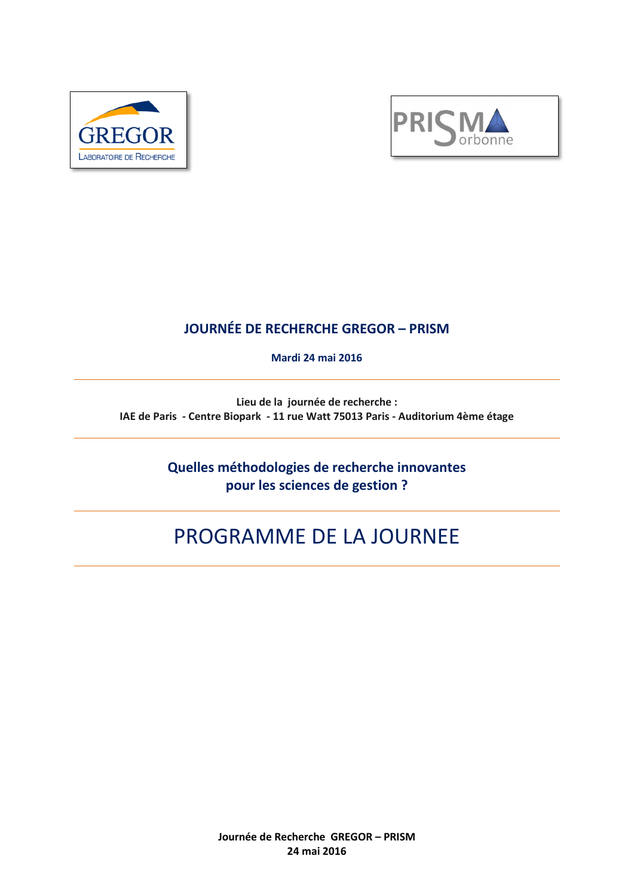



# **JOURNÉE DE RECHERCHE GREGOR – PRISM**

**Mardi 24 mai 2016** 

**Lieu de la journée de recherche : IAE de Paris - Centre Biopark - 11 rue Watt 75013 Paris - Auditorium 4ème étage**

> **Quelles méthodologies de recherche innovantes pour les sciences de gestion ?**

# PROGRAMME DE LA JOURNEE